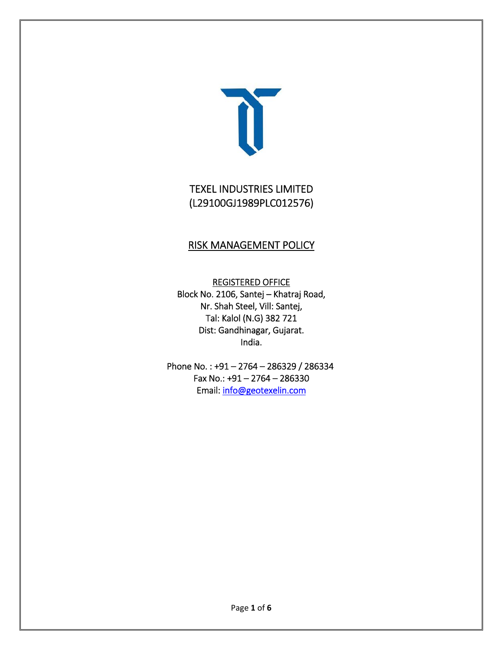

# TEXEL INDUSTRIES LIMITED (L29100GJ1989PLC012576)

# RISK MANAGEMENT POLICY

REGISTERED OFFICE Block No. 2106, Santej – Khatraj Road, Nr. Shah Steel, Vill: Santej, Tal: Kalol (N.G) 382 721 Dist: Gandhinagar, Gujarat. India.

Phone No. : +91 – 2764 – 286329 / 286334 Fax No.: +91 – 2764 – 286330 Email: info@geotexelin.com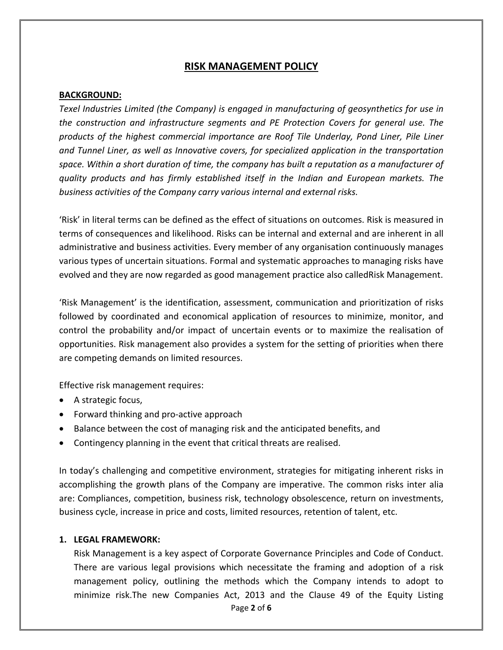# **RISK MANAGEMENT POLICY**

#### **BACKGROUND:**

*Texel Industries Limited (the Company) is engaged in manufacturing of geosynthetics for use in the construction and infrastructure segments and PE Protection Covers for general use. The products of the highest commercial importance are Roof Tile Underlay, Pond Liner, Pile Liner and Tunnel Liner, as well as Innovative covers, for specialized application in the transportation space. Within a short duration of time, the company has built a reputation as a manufacturer of quality products and has firmly established itself in the Indian and European markets. The business activities of the Company carry various internal and external risks.* 

'Risk' in literal terms can be defined as the effect of situations on outcomes. Risk is measured in terms of consequences and likelihood. Risks can be internal and external and are inherent in all administrative and business activities. Every member of any organisation continuously manages various types of uncertain situations. Formal and systematic approaches to managing risks have evolved and they are now regarded as good management practice also calledRisk Management.

'Risk Management' is the identification, assessment, communication and prioritization of risks followed by coordinated and economical application of resources to minimize, monitor, and control the probability and/or impact of uncertain events or to maximize the realisation of opportunities. Risk management also provides a system for the setting of priorities when there are competing demands on limited resources.

Effective risk management requires:

- A strategic focus,
- Forward thinking and pro-active approach
- Balance between the cost of managing risk and the anticipated benefits, and
- Contingency planning in the event that critical threats are realised.

In today's challenging and competitive environment, strategies for mitigating inherent risks in accomplishing the growth plans of the Company are imperative. The common risks inter alia are: Compliances, competition, business risk, technology obsolescence, return on investments, business cycle, increase in price and costs, limited resources, retention of talent, etc.

#### **1. LEGAL FRAMEWORK:**

Page **2** of **6** Risk Management is a key aspect of Corporate Governance Principles and Code of Conduct. There are various legal provisions which necessitate the framing and adoption of a risk management policy, outlining the methods which the Company intends to adopt to minimize risk.The new Companies Act, 2013 and the Clause 49 of the Equity Listing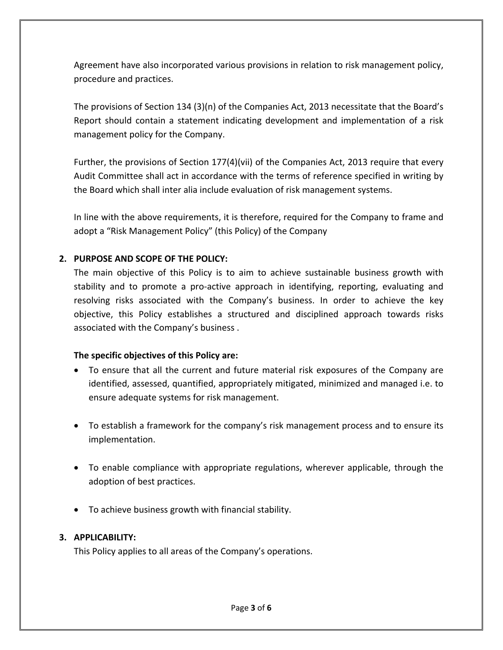Agreement have also incorporated various provisions in relation to risk management policy, procedure and practices.

The provisions of Section 134 (3)(n) of the Companies Act, 2013 necessitate that the Board's Report should contain a statement indicating development and implementation of a risk management policy for the Company.

Further, the provisions of Section 177(4)(vii) of the Companies Act, 2013 require that every Audit Committee shall act in accordance with the terms of reference specified in writing by the Board which shall inter alia include evaluation of risk management systems.

In line with the above requirements, it is therefore, required for the Company to frame and adopt a "Risk Management Policy" (this Policy) of the Company

## **2. PURPOSE AND SCOPE OF THE POLICY:**

The main objective of this Policy is to aim to achieve sustainable business growth with stability and to promote a pro-active approach in identifying, reporting, evaluating and resolving risks associated with the Company's business. In order to achieve the key objective, this Policy establishes a structured and disciplined approach towards risks associated with the Company's business .

# **The specific objectives of this Policy are:**

- To ensure that all the current and future material risk exposures of the Company are identified, assessed, quantified, appropriately mitigated, minimized and managed i.e. to ensure adequate systems for risk management.
- To establish a framework for the company's risk management process and to ensure its implementation.
- To enable compliance with appropriate regulations, wherever applicable, through the adoption of best practices.
- To achieve business growth with financial stability.

# **3. APPLICABILITY:**

This Policy applies to all areas of the Company's operations.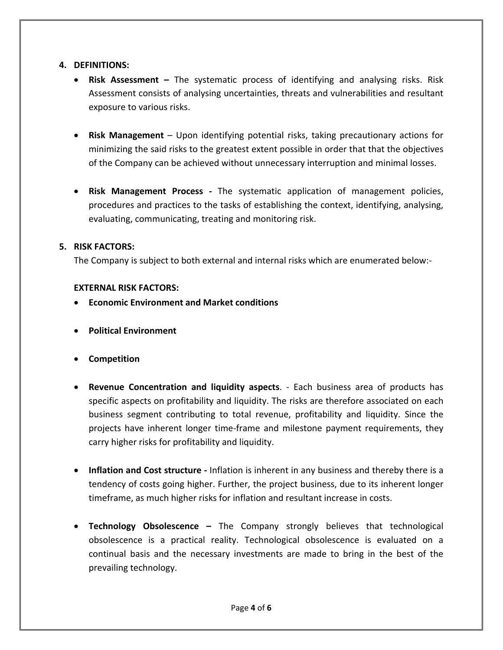#### **4. DEFINITIONS:**

- **Risk Assessment –** The systematic process of identifying and analysing risks. Risk Assessment consists of analysing uncertainties, threats and vulnerabilities and resultant exposure to various risks.
- **Risk Management** Upon identifying potential risks, taking precautionary actions for minimizing the said risks to the greatest extent possible in order that that the objectives of the Company can be achieved without unnecessary interruption and minimal losses.
- **Risk Management Process ‐** The systematic application of management policies, procedures and practices to the tasks of establishing the context, identifying, analysing, evaluating, communicating, treating and monitoring risk.

## **5. RISK FACTORS:**

The Company is subject to both external and internal risks which are enumerated below:‐

#### **EXTERNAL RISK FACTORS:**

- **Economic Environment and Market conditions**
- **Political Environment**
- **Competition**
- **Revenue Concentration and liquidity aspects**. ‐ Each business area of products has specific aspects on profitability and liquidity. The risks are therefore associated on each business segment contributing to total revenue, profitability and liquidity. Since the projects have inherent longer time‐frame and milestone payment requirements, they carry higher risks for profitability and liquidity.
- **Inflation and Cost structure ‐** Inflation is inherent in any business and thereby there is a tendency of costs going higher. Further, the project business, due to its inherent longer timeframe, as much higher risks for inflation and resultant increase in costs.
- **Technology Obsolescence –** The Company strongly believes that technological obsolescence is a practical reality. Technological obsolescence is evaluated on a continual basis and the necessary investments are made to bring in the best of the prevailing technology.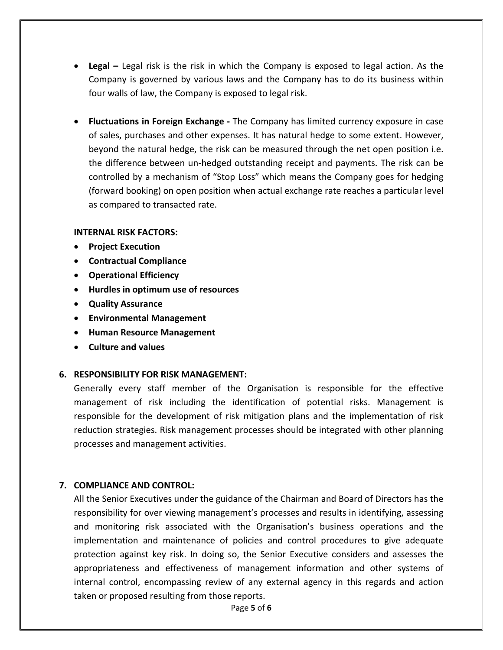- **Legal –** Legal risk is the risk in which the Company is exposed to legal action. As the Company is governed by various laws and the Company has to do its business within four walls of law, the Company is exposed to legal risk.
- **Fluctuations in Foreign Exchange ‐** The Company has limited currency exposure in case of sales, purchases and other expenses. It has natural hedge to some extent. However, beyond the natural hedge, the risk can be measured through the net open position i.e. the difference between un‐hedged outstanding receipt and payments. The risk can be controlled by a mechanism of "Stop Loss" which means the Company goes for hedging (forward booking) on open position when actual exchange rate reaches a particular level as compared to transacted rate.

#### **INTERNAL RISK FACTORS:**

- **Project Execution**
- **Contractual Compliance**
- **Operational Efficiency**
- **Hurdles in optimum use of resources**
- **Quality Assurance**
- **Environmental Management**
- **Human Resource Management**
- **Culture and values**

#### **6. RESPONSIBILITY FOR RISK MANAGEMENT:**

Generally every staff member of the Organisation is responsible for the effective management of risk including the identification of potential risks. Management is responsible for the development of risk mitigation plans and the implementation of risk reduction strategies. Risk management processes should be integrated with other planning processes and management activities.

#### **7. COMPLIANCE AND CONTROL:**

All the Senior Executives under the guidance of the Chairman and Board of Directors has the responsibility for over viewing management's processes and results in identifying, assessing and monitoring risk associated with the Organisation's business operations and the implementation and maintenance of policies and control procedures to give adequate protection against key risk. In doing so, the Senior Executive considers and assesses the appropriateness and effectiveness of management information and other systems of internal control, encompassing review of any external agency in this regards and action taken or proposed resulting from those reports.